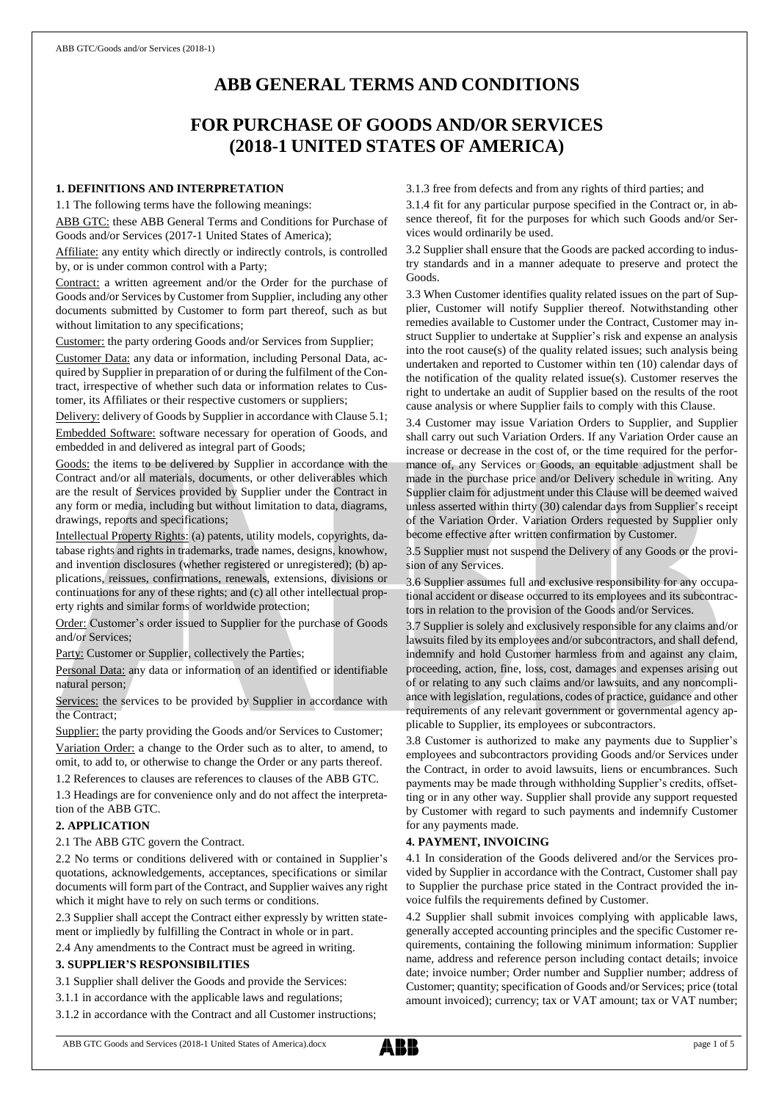# **ABB GENERAL TERMS AND CONDITIONS**

# **FOR PURCHASE OF GOODS AND/OR SERVICES (2018-1 UNITED STATES OF AMERICA)**

# **1. DEFINITIONS AND INTERPRETATION**

1.1 The following terms have the following meanings:

ABB GTC: these ABB General Terms and Conditions for Purchase of Goods and/or Services (2017-1 United States of America);

Affiliate: any entity which directly or indirectly controls, is controlled by, or is under common control with a Party;

Contract: a written agreement and/or the Order for the purchase of Goods and/or Services by Customer from Supplier, including any other documents submitted by Customer to form part thereof, such as but without limitation to any specifications;

Customer: the party ordering Goods and/or Services from Supplier;

Customer Data: any data or information, including Personal Data, acquired by Supplier in preparation of or during the fulfilment of the Contract, irrespective of whether such data or information relates to Customer, its Affiliates or their respective customers or suppliers;

Delivery: delivery of Goods by Supplier in accordance with Clause 5.1;

Embedded Software: software necessary for operation of Goods, and embedded in and delivered as integral part of Goods;

Goods: the items to be delivered by Supplier in accordance with the Contract and/or all materials, documents, or other deliverables which are the result of Services provided by Supplier under the Contract in any form or media, including but without limitation to data, diagrams, drawings, reports and specifications;

Intellectual Property Rights: (a) patents, utility models, copyrights, database rights and rights in trademarks, trade names, designs, knowhow, and invention disclosures (whether registered or unregistered); (b) applications, reissues, confirmations, renewals, extensions, divisions or continuations for any of these rights; and (c) all other intellectual property rights and similar forms of worldwide protection;

Order: Customer's order issued to Supplier for the purchase of Goods and/or Services;

Party: Customer or Supplier, collectively the Parties;

Personal Data: any data or information of an identified or identifiable natural person;

Services: the services to be provided by Supplier in accordance with the Contract;

Supplier: the party providing the Goods and/or Services to Customer; Variation Order: a change to the Order such as to alter, to amend, to omit, to add to, or otherwise to change the Order or any parts thereof.

1.2 References to clauses are references to clauses of the ABB GTC.

1.3 Headings are for convenience only and do not affect the interpretation of the ABB GTC.

# **2. APPLICATION**

2.1 The ABB GTC govern the Contract.

2.2 No terms or conditions delivered with or contained in Supplier's quotations, acknowledgements, acceptances, specifications or similar documents will form part of the Contract, and Supplier waives any right which it might have to rely on such terms or conditions.

2.3 Supplier shall accept the Contract either expressly by written statement or impliedly by fulfilling the Contract in whole or in part.

2.4 Any amendments to the Contract must be agreed in writing.

#### **3. SUPPLIER'S RESPONSIBILITIES**

3.1 Supplier shall deliver the Goods and provide the Services:

3.1.1 in accordance with the applicable laws and regulations;

3.1.2 in accordance with the Contract and all Customer instructions;

3.1.3 free from defects and from any rights of third parties; and

3.1.4 fit for any particular purpose specified in the Contract or, in absence thereof, fit for the purposes for which such Goods and/or Services would ordinarily be used.

3.2 Supplier shall ensure that the Goods are packed according to industry standards and in a manner adequate to preserve and protect the Goods.

3.3 When Customer identifies quality related issues on the part of Supplier, Customer will notify Supplier thereof. Notwithstanding other remedies available to Customer under the Contract, Customer may instruct Supplier to undertake at Supplier's risk and expense an analysis into the root cause(s) of the quality related issues; such analysis being undertaken and reported to Customer within ten (10) calendar days of the notification of the quality related issue(s). Customer reserves the right to undertake an audit of Supplier based on the results of the root cause analysis or where Supplier fails to comply with this Clause.

3.4 Customer may issue Variation Orders to Supplier, and Supplier shall carry out such Variation Orders. If any Variation Order cause an increase or decrease in the cost of, or the time required for the performance of, any Services or Goods, an equitable adjustment shall be made in the purchase price and/or Delivery schedule in writing. Any Supplier claim for adjustment under this Clause will be deemed waived unless asserted within thirty (30) calendar days from Supplier's receipt of the Variation Order. Variation Orders requested by Supplier only become effective after written confirmation by Customer.

3.5 Supplier must not suspend the Delivery of any Goods or the provision of any Services.

3.6 Supplier assumes full and exclusive responsibility for any occupational accident or disease occurred to its employees and its subcontractors in relation to the provision of the Goods and/or Services.

3.7 Supplier is solely and exclusively responsible for any claims and/or lawsuits filed by its employees and/or subcontractors, and shall defend, indemnify and hold Customer harmless from and against any claim, proceeding, action, fine, loss, cost, damages and expenses arising out of or relating to any such claims and/or lawsuits, and any noncompliance with legislation, regulations, codes of practice, guidance and other requirements of any relevant government or governmental agency applicable to Supplier, its employees or subcontractors.

3.8 Customer is authorized to make any payments due to Supplier's employees and subcontractors providing Goods and/or Services under the Contract, in order to avoid lawsuits, liens or encumbrances. Such payments may be made through withholding Supplier's credits, offsetting or in any other way. Supplier shall provide any support requested by Customer with regard to such payments and indemnify Customer for any payments made.

#### **4. PAYMENT, INVOICING**

4.1 In consideration of the Goods delivered and/or the Services provided by Supplier in accordance with the Contract, Customer shall pay to Supplier the purchase price stated in the Contract provided the invoice fulfils the requirements defined by Customer.

4.2 Supplier shall submit invoices complying with applicable laws, generally accepted accounting principles and the specific Customer requirements, containing the following minimum information: Supplier name, address and reference person including contact details; invoice date; invoice number; Order number and Supplier number; address of Customer; quantity; specification of Goods and/or Services; price (total amount invoiced); currency; tax or VAT amount; tax or VAT number;

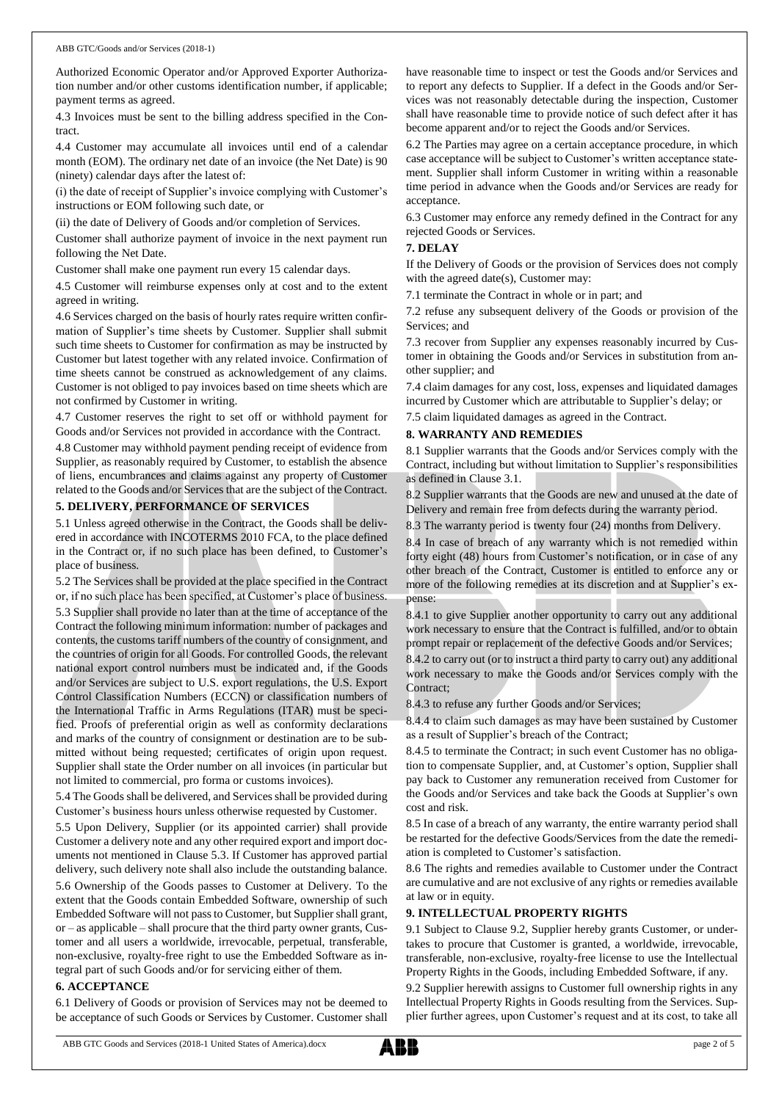Authorized Economic Operator and/or Approved Exporter Authorization number and/or other customs identification number, if applicable; payment terms as agreed.

4.3 Invoices must be sent to the billing address specified in the Contract.

4.4 Customer may accumulate all invoices until end of a calendar month (EOM). The ordinary net date of an invoice (the Net Date) is 90 (ninety) calendar days after the latest of:

(i) the date of receipt of Supplier's invoice complying with Customer's instructions or EOM following such date, or

(ii) the date of Delivery of Goods and/or completion of Services.

Customer shall authorize payment of invoice in the next payment run following the Net Date.

Customer shall make one payment run every 15 calendar days.

4.5 Customer will reimburse expenses only at cost and to the extent agreed in writing.

4.6 Services charged on the basis of hourly rates require written confirmation of Supplier's time sheets by Customer. Supplier shall submit such time sheets to Customer for confirmation as may be instructed by Customer but latest together with any related invoice. Confirmation of time sheets cannot be construed as acknowledgement of any claims. Customer is not obliged to pay invoices based on time sheets which are not confirmed by Customer in writing.

4.7 Customer reserves the right to set off or withhold payment for Goods and/or Services not provided in accordance with the Contract.

4.8 Customer may withhold payment pending receipt of evidence from Supplier, as reasonably required by Customer, to establish the absence of liens, encumbrances and claims against any property of Customer related to the Goods and/or Services that are the subject of the Contract.

# **5. DELIVERY, PERFORMANCE OF SERVICES**

5.1 Unless agreed otherwise in the Contract, the Goods shall be delivered in accordance with INCOTERMS 2010 FCA, to the place defined in the Contract or, if no such place has been defined, to Customer's place of business.

5.2 The Services shall be provided at the place specified in the Contract or, if no such place has been specified, at Customer's place of business. 5.3 Supplier shall provide no later than at the time of acceptance of the Contract the following minimum information: number of packages and contents, the customs tariff numbers of the country of consignment, and the countries of origin for all Goods. For controlled Goods, the relevant national export control numbers must be indicated and, if the Goods and/or Services are subject to U.S. export regulations, the U.S. Export Control Classification Numbers (ECCN) or classification numbers of the International Traffic in Arms Regulations (ITAR) must be specified. Proofs of preferential origin as well as conformity declarations and marks of the country of consignment or destination are to be submitted without being requested; certificates of origin upon request. Supplier shall state the Order number on all invoices (in particular but not limited to commercial, pro forma or customs invoices).

5.4 The Goods shall be delivered, and Services shall be provided during Customer's business hours unless otherwise requested by Customer.

5.5 Upon Delivery, Supplier (or its appointed carrier) shall provide Customer a delivery note and any other required export and import documents not mentioned in Clause 5.3. If Customer has approved partial delivery, such delivery note shall also include the outstanding balance.

5.6 Ownership of the Goods passes to Customer at Delivery. To the extent that the Goods contain Embedded Software, ownership of such Embedded Software will not passto Customer, but Supplier shall grant, or – as applicable – shall procure that the third party owner grants, Customer and all users a worldwide, irrevocable, perpetual, transferable, non-exclusive, royalty-free right to use the Embedded Software as integral part of such Goods and/or for servicing either of them.

#### **6. ACCEPTANCE**

6.1 Delivery of Goods or provision of Services may not be deemed to be acceptance of such Goods or Services by Customer. Customer shall

have reasonable time to inspect or test the Goods and/or Services and to report any defects to Supplier. If a defect in the Goods and/or Services was not reasonably detectable during the inspection, Customer shall have reasonable time to provide notice of such defect after it has become apparent and/or to reject the Goods and/or Services.

6.2 The Parties may agree on a certain acceptance procedure, in which case acceptance will be subject to Customer's written acceptance statement. Supplier shall inform Customer in writing within a reasonable time period in advance when the Goods and/or Services are ready for acceptance.

6.3 Customer may enforce any remedy defined in the Contract for any rejected Goods or Services.

## **7. DELAY**

If the Delivery of Goods or the provision of Services does not comply with the agreed date(s), Customer may:

7.1 terminate the Contract in whole or in part; and

7.2 refuse any subsequent delivery of the Goods or provision of the Services; and

7.3 recover from Supplier any expenses reasonably incurred by Customer in obtaining the Goods and/or Services in substitution from another supplier; and

7.4 claim damages for any cost, loss, expenses and liquidated damages incurred by Customer which are attributable to Supplier's delay; or

7.5 claim liquidated damages as agreed in the Contract.

#### **8. WARRANTY AND REMEDIES**

8.1 Supplier warrants that the Goods and/or Services comply with the Contract, including but without limitation to Supplier's responsibilities as defined in Clause 3.1.

8.2 Supplier warrants that the Goods are new and unused at the date of Delivery and remain free from defects during the warranty period.

8.3 The warranty period is twenty four (24) months from Delivery.

8.4 In case of breach of any warranty which is not remedied within forty eight (48) hours from Customer's notification, or in case of any other breach of the Contract, Customer is entitled to enforce any or more of the following remedies at its discretion and at Supplier's expense:

8.4.1 to give Supplier another opportunity to carry out any additional work necessary to ensure that the Contract is fulfilled, and/or to obtain prompt repair or replacement of the defective Goods and/or Services;

8.4.2 to carry out (or to instruct a third party to carry out) any additional work necessary to make the Goods and/or Services comply with the Contract;

8.4.3 to refuse any further Goods and/or Services;

8.4.4 to claim such damages as may have been sustained by Customer as a result of Supplier's breach of the Contract;

8.4.5 to terminate the Contract; in such event Customer has no obligation to compensate Supplier, and, at Customer's option, Supplier shall pay back to Customer any remuneration received from Customer for the Goods and/or Services and take back the Goods at Supplier's own cost and risk.

8.5 In case of a breach of any warranty, the entire warranty period shall be restarted for the defective Goods/Services from the date the remediation is completed to Customer's satisfaction.

8.6 The rights and remedies available to Customer under the Contract are cumulative and are not exclusive of any rights or remedies available at law or in equity.

#### **9. INTELLECTUAL PROPERTY RIGHTS**

9.1 Subject to Clause 9.2, Supplier hereby grants Customer, or undertakes to procure that Customer is granted, a worldwide, irrevocable, transferable, non-exclusive, royalty-free license to use the Intellectual Property Rights in the Goods, including Embedded Software, if any.

9.2 Supplier herewith assigns to Customer full ownership rights in any Intellectual Property Rights in Goods resulting from the Services. Supplier further agrees, upon Customer's request and at its cost, to take all

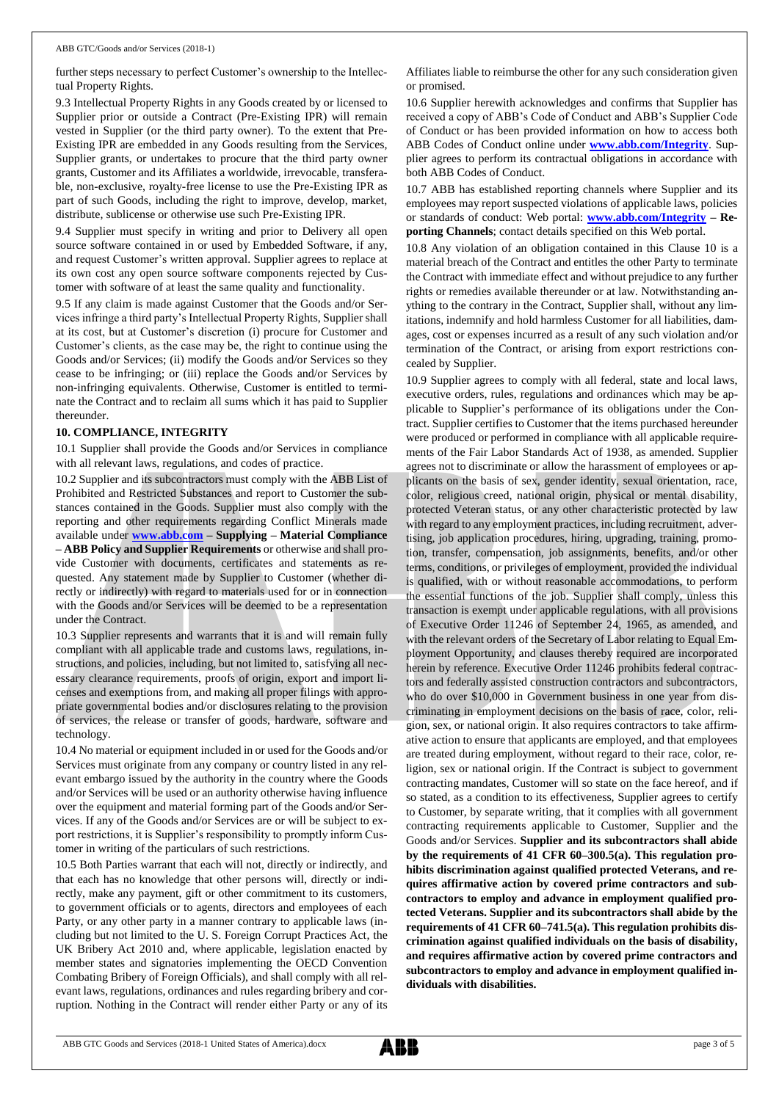further steps necessary to perfect Customer's ownership to the Intellectual Property Rights.

9.3 Intellectual Property Rights in any Goods created by or licensed to Supplier prior or outside a Contract (Pre-Existing IPR) will remain vested in Supplier (or the third party owner). To the extent that Pre-Existing IPR are embedded in any Goods resulting from the Services, Supplier grants, or undertakes to procure that the third party owner grants, Customer and its Affiliates a worldwide, irrevocable, transferable, non-exclusive, royalty-free license to use the Pre-Existing IPR as part of such Goods, including the right to improve, develop, market, distribute, sublicense or otherwise use such Pre-Existing IPR.

9.4 Supplier must specify in writing and prior to Delivery all open source software contained in or used by Embedded Software, if any, and request Customer's written approval. Supplier agrees to replace at its own cost any open source software components rejected by Customer with software of at least the same quality and functionality.

9.5 If any claim is made against Customer that the Goods and/or Services infringe a third party's Intellectual Property Rights, Supplier shall at its cost, but at Customer's discretion (i) procure for Customer and Customer's clients, as the case may be, the right to continue using the Goods and/or Services; (ii) modify the Goods and/or Services so they cease to be infringing; or (iii) replace the Goods and/or Services by non-infringing equivalents. Otherwise, Customer is entitled to terminate the Contract and to reclaim all sums which it has paid to Supplier thereunder.

#### **10. COMPLIANCE, INTEGRITY**

10.1 Supplier shall provide the Goods and/or Services in compliance with all relevant laws, regulations, and codes of practice.

10.2 Supplier and its subcontractors must comply with the ABB List of Prohibited and Restricted Substances and report to Customer the substances contained in the Goods. Supplier must also comply with the reporting and other requirements regarding Conflict Minerals made available under **[www.abb.com](http://www.abb.com/) – Supplying – Material Compliance – ABB Policy and Supplier Requirements** or otherwise and shall provide Customer with documents, certificates and statements as requested. Any statement made by Supplier to Customer (whether directly or indirectly) with regard to materials used for or in connection with the Goods and/or Services will be deemed to be a representation under the Contract.

10.3 Supplier represents and warrants that it is and will remain fully compliant with all applicable trade and customs laws, regulations, instructions, and policies, including, but not limited to, satisfying all necessary clearance requirements, proofs of origin, export and import licenses and exemptions from, and making all proper filings with appropriate governmental bodies and/or disclosures relating to the provision of services, the release or transfer of goods, hardware, software and technology.

10.4 No material or equipment included in or used for the Goods and/or Services must originate from any company or country listed in any relevant embargo issued by the authority in the country where the Goods and/or Services will be used or an authority otherwise having influence over the equipment and material forming part of the Goods and/or Services. If any of the Goods and/or Services are or will be subject to export restrictions, it is Supplier's responsibility to promptly inform Customer in writing of the particulars of such restrictions.

10.5 Both Parties warrant that each will not, directly or indirectly, and that each has no knowledge that other persons will, directly or indirectly, make any payment, gift or other commitment to its customers, to government officials or to agents, directors and employees of each Party, or any other party in a manner contrary to applicable laws (including but not limited to the U. S. Foreign Corrupt Practices Act, the UK Bribery Act 2010 and, where applicable, legislation enacted by member states and signatories implementing the OECD Convention Combating Bribery of Foreign Officials), and shall comply with all relevant laws, regulations, ordinances and rules regarding bribery and corruption. Nothing in the Contract will render either Party or any of its Affiliates liable to reimburse the other for any such consideration given or promised.

10.6 Supplier herewith acknowledges and confirms that Supplier has received a copy of ABB's Code of Conduct and ABB's Supplier Code of Conduct or has been provided information on how to access both ABB Codes of Conduct online under **[www.abb.com/Integrity](http://www.abb.com/Integrity)**. Supplier agrees to perform its contractual obligations in accordance with both ABB Codes of Conduct.

10.7 ABB has established reporting channels where Supplier and its employees may report suspected violations of applicable laws, policies or standards of conduct: Web portal: **[www.abb.com/Integrity](http://www.abb.com/Integrity) – Reporting Channels**; contact details specified on this Web portal.

10.8 Any violation of an obligation contained in this Clause 10 is a material breach of the Contract and entitles the other Party to terminate the Contract with immediate effect and without prejudice to any further rights or remedies available thereunder or at law. Notwithstanding anything to the contrary in the Contract, Supplier shall, without any limitations, indemnify and hold harmless Customer for all liabilities, damages, cost or expenses incurred as a result of any such violation and/or termination of the Contract, or arising from export restrictions concealed by Supplier.

10.9 Supplier agrees to comply with all federal, state and local laws, executive orders, rules, regulations and ordinances which may be applicable to Supplier's performance of its obligations under the Contract. Supplier certifies to Customer that the items purchased hereunder were produced or performed in compliance with all applicable requirements of the Fair Labor Standards Act of 1938, as amended. Supplier agrees not to discriminate or allow the harassment of employees or applicants on the basis of sex, gender identity, sexual orientation, race, color, religious creed, national origin, physical or mental disability, protected Veteran status, or any other characteristic protected by law with regard to any employment practices, including recruitment, advertising, job application procedures, hiring, upgrading, training, promotion, transfer, compensation, job assignments, benefits, and/or other terms, conditions, or privileges of employment, provided the individual is qualified, with or without reasonable accommodations, to perform the essential functions of the job. Supplier shall comply, unless this transaction is exempt under applicable regulations, with all provisions of Executive Order 11246 of September 24, 1965, as amended, and with the relevant orders of the Secretary of Labor relating to Equal Employment Opportunity, and clauses thereby required are incorporated herein by reference. Executive Order 11246 prohibits federal contractors and federally assisted construction contractors and subcontractors, who do over \$10,000 in Government business in one year from discriminating in employment decisions on the basis of race, color, religion, sex, or national origin. It also requires contractors to take affirmative action to ensure that applicants are employed, and that employees are treated during employment, without regard to their race, color, religion, sex or national origin. If the Contract is subject to government contracting mandates, Customer will so state on the face hereof, and if so stated, as a condition to its effectiveness, Supplier agrees to certify to Customer, by separate writing, that it complies with all government contracting requirements applicable to Customer, Supplier and the Goods and/or Services. **Supplier and its subcontractors shall abide by the requirements of 41 CFR 60–300.5(a). This regulation prohibits discrimination against qualified protected Veterans, and requires affirmative action by covered prime contractors and subcontractors to employ and advance in employment qualified protected Veterans. Supplier and its subcontractors shall abide by the requirements of 41 CFR 60–741.5(a). This regulation prohibits discrimination against qualified individuals on the basis of disability, and requires affirmative action by covered prime contractors and subcontractors to employ and advance in employment qualified individuals with disabilities.**

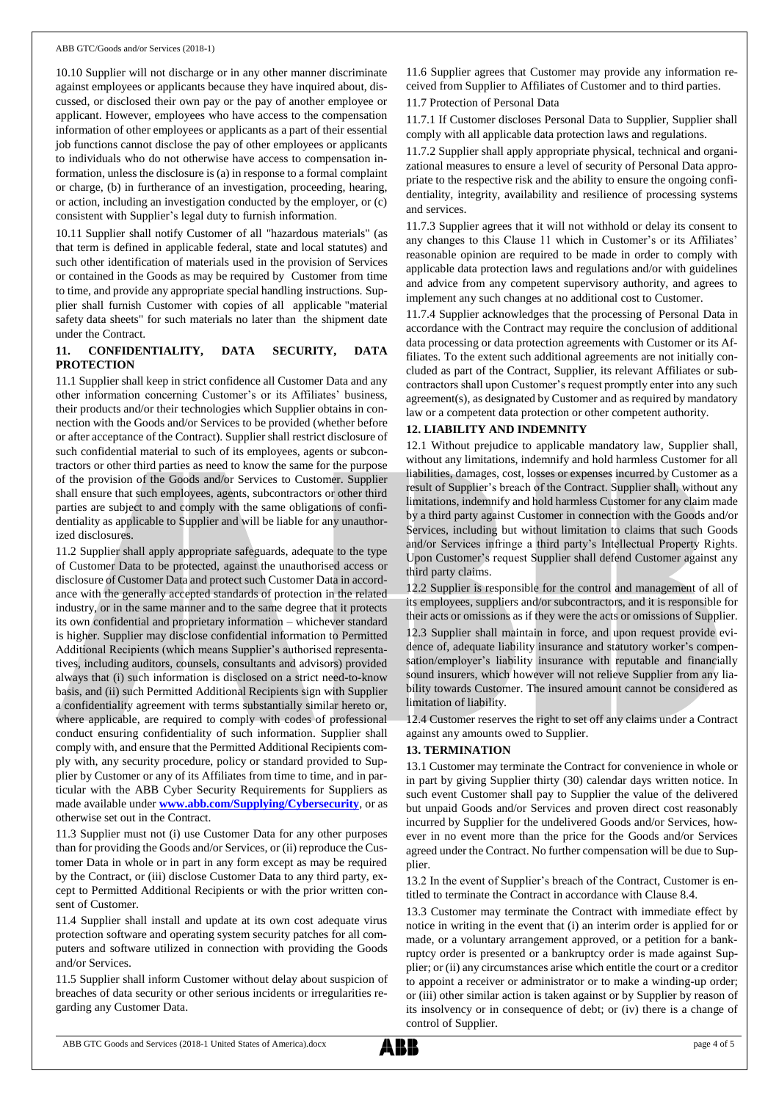10.10 Supplier will not discharge or in any other manner discriminate against employees or applicants because they have inquired about, discussed, or disclosed their own pay or the pay of another employee or applicant. However, employees who have access to the compensation information of other employees or applicants as a part of their essential job functions cannot disclose the pay of other employees or applicants to individuals who do not otherwise have access to compensation information, unless the disclosure is (a) in response to a formal complaint or charge, (b) in furtherance of an investigation, proceeding, hearing, or action, including an investigation conducted by the employer, or (c) consistent with Supplier's legal duty to furnish information.

10.11 Supplier shall notify Customer of all "hazardous materials" (as that term is defined in applicable federal, state and local statutes) and such other identification of materials used in the provision of Services or contained in the Goods as may be required by Customer from time to time, and provide any appropriate special handling instructions. Supplier shall furnish Customer with copies of all applicable "material safety data sheets" for such materials no later than the shipment date under the Contract.

# **11. CONFIDENTIALITY, DATA SECURITY, DATA PROTECTION**

11.1 Supplier shall keep in strict confidence all Customer Data and any other information concerning Customer's or its Affiliates' business, their products and/or their technologies which Supplier obtains in connection with the Goods and/or Services to be provided (whether before or after acceptance of the Contract). Supplier shall restrict disclosure of such confidential material to such of its employees, agents or subcontractors or other third parties as need to know the same for the purpose of the provision of the Goods and/or Services to Customer. Supplier shall ensure that such employees, agents, subcontractors or other third parties are subject to and comply with the same obligations of confidentiality as applicable to Supplier and will be liable for any unauthorized disclosures.

11.2 Supplier shall apply appropriate safeguards, adequate to the type of Customer Data to be protected, against the unauthorised access or disclosure of Customer Data and protect such Customer Data in accordance with the generally accepted standards of protection in the related industry, or in the same manner and to the same degree that it protects its own confidential and proprietary information – whichever standard is higher. Supplier may disclose confidential information to Permitted Additional Recipients (which means Supplier's authorised representatives, including auditors, counsels, consultants and advisors) provided always that (i) such information is disclosed on a strict need-to-know basis, and (ii) such Permitted Additional Recipients sign with Supplier a confidentiality agreement with terms substantially similar hereto or, where applicable, are required to comply with codes of professional conduct ensuring confidentiality of such information. Supplier shall comply with, and ensure that the Permitted Additional Recipients comply with, any security procedure, policy or standard provided to Supplier by Customer or any of its Affiliates from time to time, and in particular with the ABB Cyber Security Requirements for Suppliers as made available under **[www.abb.com/Supplying/Cybersecurity](http://www.abb.com/Supplying/Cybersecurity)**, or as otherwise set out in the Contract.

11.3 Supplier must not (i) use Customer Data for any other purposes than for providing the Goods and/or Services, or (ii) reproduce the Customer Data in whole or in part in any form except as may be required by the Contract, or (iii) disclose Customer Data to any third party, except to Permitted Additional Recipients or with the prior written consent of Customer.

11.4 Supplier shall install and update at its own cost adequate virus protection software and operating system security patches for all computers and software utilized in connection with providing the Goods and/or Services.

11.5 Supplier shall inform Customer without delay about suspicion of breaches of data security or other serious incidents or irregularities regarding any Customer Data.

11.6 Supplier agrees that Customer may provide any information received from Supplier to Affiliates of Customer and to third parties.

11.7 Protection of Personal Data

11.7.1 If Customer discloses Personal Data to Supplier, Supplier shall comply with all applicable data protection laws and regulations.

11.7.2 Supplier shall apply appropriate physical, technical and organizational measures to ensure a level of security of Personal Data appropriate to the respective risk and the ability to ensure the ongoing confidentiality, integrity, availability and resilience of processing systems and services.

11.7.3 Supplier agrees that it will not withhold or delay its consent to any changes to this Clause 11 which in Customer's or its Affiliates' reasonable opinion are required to be made in order to comply with applicable data protection laws and regulations and/or with guidelines and advice from any competent supervisory authority, and agrees to implement any such changes at no additional cost to Customer.

11.7.4 Supplier acknowledges that the processing of Personal Data in accordance with the Contract may require the conclusion of additional data processing or data protection agreements with Customer or its Affiliates. To the extent such additional agreements are not initially concluded as part of the Contract, Supplier, its relevant Affiliates or subcontractors shall upon Customer's request promptly enter into any such agreement(s), as designated by Customer and as required by mandatory law or a competent data protection or other competent authority.

## **12. LIABILITY AND INDEMNITY**

12.1 Without prejudice to applicable mandatory law, Supplier shall, without any limitations, indemnify and hold harmless Customer for all liabilities, damages, cost, losses or expenses incurred by Customer as a result of Supplier's breach of the Contract. Supplier shall, without any limitations, indemnify and hold harmless Customer for any claim made by a third party against Customer in connection with the Goods and/or Services, including but without limitation to claims that such Goods and/or Services infringe a third party's Intellectual Property Rights. Upon Customer's request Supplier shall defend Customer against any third party claims.

12.2 Supplier is responsible for the control and management of all of its employees, suppliers and/or subcontractors, and it is responsible for their acts or omissions as if they were the acts or omissions of Supplier.

12.3 Supplier shall maintain in force, and upon request provide evidence of, adequate liability insurance and statutory worker's compensation/employer's liability insurance with reputable and financially sound insurers, which however will not relieve Supplier from any liability towards Customer. The insured amount cannot be considered as limitation of liability.

12.4 Customer reserves the right to set off any claims under a Contract against any amounts owed to Supplier.

# **13. TERMINATION**

13.1 Customer may terminate the Contract for convenience in whole or in part by giving Supplier thirty (30) calendar days written notice. In such event Customer shall pay to Supplier the value of the delivered but unpaid Goods and/or Services and proven direct cost reasonably incurred by Supplier for the undelivered Goods and/or Services, however in no event more than the price for the Goods and/or Services agreed under the Contract. No further compensation will be due to Supplier.

13.2 In the event of Supplier's breach of the Contract, Customer is entitled to terminate the Contract in accordance with Clause 8.4.

13.3 Customer may terminate the Contract with immediate effect by notice in writing in the event that (i) an interim order is applied for or made, or a voluntary arrangement approved, or a petition for a bankruptcy order is presented or a bankruptcy order is made against Supplier; or (ii) any circumstances arise which entitle the court or a creditor to appoint a receiver or administrator or to make a winding-up order; or (iii) other similar action is taken against or by Supplier by reason of its insolvency or in consequence of debt; or (iv) there is a change of control of Supplier.